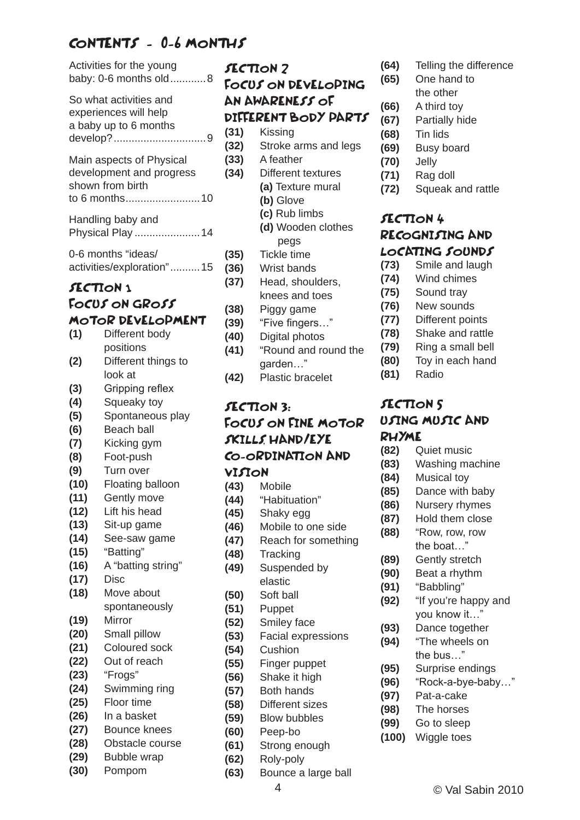## CONTENTS - 0-6 MONTHS

| Activities for the young<br>baby: 0-6 months old8                                         |                                 |
|-------------------------------------------------------------------------------------------|---------------------------------|
| So what activities and<br>experiences will help<br>a baby up to 6 months                  |                                 |
| Main aspects of Physical<br>development and progress<br>shown from birth<br>to 6 months10 |                                 |
| Handling baby and<br>Physical Play  14                                                    |                                 |
| 0-6 months "ideas/<br>activities/exploration" 15                                          |                                 |
|                                                                                           | SECTION 1                       |
|                                                                                           | FOCUS ON GROSS                  |
|                                                                                           | MOTOR DEVELOPMENT               |
| (1)                                                                                       | Different body                  |
|                                                                                           | positions                       |
| (2)                                                                                       | Different things to             |
|                                                                                           | look at                         |
| (3)                                                                                       | Gripping reflex                 |
| (4)                                                                                       | Squeaky toy                     |
| (5)                                                                                       | Spontaneous play                |
| (6)                                                                                       | <b>Beach ball</b>               |
| (7)                                                                                       | Kicking gym                     |
| (8)                                                                                       | Foot-push                       |
| (9)<br>(10)                                                                               | Turn over                       |
| (11)                                                                                      | Floating balloon<br>Gently move |
| (12)                                                                                      | Lift his head                   |
| (13)                                                                                      | Sit-up game                     |
| (14)                                                                                      | See-saw game                    |
| (15)                                                                                      | "Batting"                       |
| (16)                                                                                      | A "batting string"              |
| (17)                                                                                      | <b>Disc</b>                     |
| (18)                                                                                      | Move about                      |
|                                                                                           | spontaneously                   |
| (19)                                                                                      | Mirror                          |
| (20)                                                                                      | Small pillow                    |
| (21)                                                                                      | <b>Coloured sock</b>            |
| (22)                                                                                      | Out of reach                    |
| (23)                                                                                      | "Frogs"                         |
| (24)<br>(25)                                                                              | Swimming ring<br>Floor time     |
| (26)                                                                                      | In a basket                     |
| (27)                                                                                      | <b>Bounce knees</b>             |
| (28)                                                                                      | Obstacle course                 |
| (29)                                                                                      | <b>Bubble wrap</b>              |

**(30)** Pompom

SECTION 2 FOCUS ON DEVELOPING AN AWARENESS OF DIFFERENT BODY PARTS

- **(31)** Kissing
- **(32)** Stroke arms and legs
- **(33)** A feather **(34)** Different textures
	- **(a)** Texture mural **(b)** Glove
		- **(c)** Rub limbs
		- **(d)** Wooden clothes pegs
- **(35)** Tickle time
- **(36)** Wrist bands
- **(37)** Head, shoulders, knees and toes
- **(38)** Piggy game
- **(39)** "Five fingers…"
- **(40)** Digital photos
- **(41)** "Round and round the garden…"
- **(42)** Plastic bracelet

## SECTION 3: FOCUS ON FINE MOTOR SKILLS, HAND/EYE CO-ORDINATION AND VISION<br>(43) Mo

- **(43)** Mobile **(44)** "Habituation"
- **(45)** Shaky egg
- 
- **(46)** Mobile to one side **(47)** Reach for something
- **(48)** Tracking
- 
- **(49)** Suspended by elastic
- **(50)** Soft ball
- **(51)** Puppet
- **(52)** Smiley face
- **(53)** Facial expressions
- **(54)** Cushion
- **(55)** Finger puppet
- **(56)** Shake it high
- **(57)** Both hands
- **(58)** Different sizes
- **(59)** Blow bubbles
- **(60)** Peep-bo
- **(61)** Strong enough
- **(62)** Roly-poly
- **(63)** Bounce a large ball
- **(64)** Telling the difference
- **(65)** One hand to
	- the other
- **(66)** A third toy **(67)** Partially hide
- **(68)** Tin lids
- **(69)** Busy board
- **(70)** Jelly
- **(71)** Rag doll
- **(72)** Squeak and rattle

## SECTION 4 RECOGNISING AND **LOCATING SOUNDS**<br>(73) Smile and laugh

- **(73)** Smile and laugh
- **(74)** Wind chimes
- **(75)** Sound tray
- **(76)** New sounds
- **(77)** Different points
- **(78)** Shake and rattle
- **(79)** Ring a small bell
- **(80)** Toy in each hand
- **(81)** Radio

# SECTION 5 USING MUSIC AND

- **RHYME**<br>(82) Q **(82)** Quiet music
- **(83)** Washing machine
- **(84)** Musical toy
- **(85)** Dance with baby
- **(86)** Nursery rhymes
- **(87)** Hold them close
- **(88)** "Row, row, row the boat…"
- **(89)** Gently stretch
- **(90)** Beat a rhythm
- **(91)** "Babbling"
- **(92)** "If you're happy and you know it…"
- **(93)** Dance together
- **(94)** "The wheels on the bus…"
- **(95)** Surprise endings
- **(96)** "Rock-a-bye-baby…"
- **(97)** Pat-a-cake
- **(98)** The horses
- **(99)** Go to sleep
- **(100)** Wiggle toes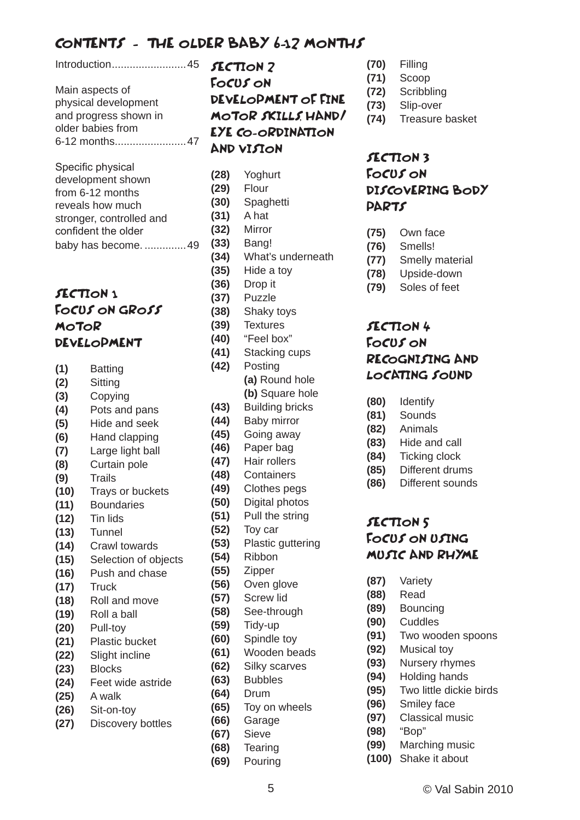### CONTENTS - THE OLDER BABY 6-12 MONTHS

Introduction.........................45

Main aspects of physical development and progress shown in older babies from 6-12 months........................47

| Specific physical        |
|--------------------------|
| development shown        |
| from 6-12 months         |
| reveals how much         |
| stronger, controlled and |
| confident the older      |
| baby has become.  4      |

#### SECTION<sub>1</sub> FOCUS ON GROSS **MOTOR** DEVELOPMENT

- **(1)** Batting
- **(2)** Sitting
- **(3)** Copying
- **(4)** Pots and pans
- **(5)** Hide and seek
- **(6)** Hand clapping
- **(7)** Large light ball **(8)** Curtain pole
- **(9)** Trails
- **(10)** Trays or buckets
- **(11)** Boundaries
- **(12)** Tin lids
- **(13)** Tunnel
- **(14)** Crawl towards
- **(15)** Selection of objects
- **(16)** Push and chase
- **(17)** Truck
- **(18)** Roll and move
- **(19)** Roll a ball
- **(20)** Pull-toy
- **(21)** Plastic bucket
- **(22)** Slight incline
- **(23)** Blocks
- **(24)** Feet wide astride
- **(25)** A walk
- **(26)** Sit-on-toy
- **(27)** Discovery bottles

SECTION 2 FOCUS ON DEVELOPMENT OF FINE MOTOR SKILLS, HAND/ EYE CO-ORDINATION AND VISION

**(28)** Yoghurt **(29)** Flour **(30)** Spaghetti **(31)** A hat **(32)** Mirror **(33)** Bang! **(34)** What's underneath **(35)** Hide a toy **(36)** Drop it **(37)** Puzzle **(38)** Shaky toys **(39)** Textures **(40)** "Feel box" **(41)** Stacking cups **(42)** Posting **(a)** Round hole **(b)** Square hole **(43)** Building bricks **(44)** Baby mirror **(45)** Going away **(46)** Paper bag **(47)** Hair rollers **(48)** Containers **(49)** Clothes pegs **(50)** Digital photos **(51)** Pull the string **(52)** Toy car **(53)** Plastic guttering **(54)** Ribbon **(55)** Zipper **(56)** Oven glove **(57)** Screw lid **(58)** See-through **(59)** Tidy-up **(60)** Spindle toy **(61)** Wooden beads **(62)** Silky scarves **(63)** Bubbles **(64)** Drum **(65)** Toy on wheels **(66)** Garage **(67)** Sieve **(68)** Tearing **(69)** Pouring

- **(70)** Filling
- **(71)** Scoop
- **(72)** Scribbling
- **(73)** Slip-over
- **(74)** Treasure basket

#### SECTION 3 FOCUS ON DISCOVERING BODY **PARTS**

- **(75)** Own face
- **(76)** Smells!
- **(77)** Smelly material
- **(78)** Upside-down
- **(79)** Soles of feet

#### SECTION 4 FOCUS ON RECOGNISING AND LOCATING SOUND

- **(80)** Identify
- **(81)** Sounds
- **(82)** Animals
- **(83)** Hide and call
- **(84)** Ticking clock
- **(85)** Different drums
- **(86)** Different sounds

#### SECTION 5 FOCUS ON USING MUSIC AND RHYME

- **(87)** Variety
- **(88)** Read
- **(89)** Bouncing
- **(90)** Cuddles
- **(91)** Two wooden spoons
- **(92)** Musical toy
- **(93)** Nursery rhymes
- **(94)** Holding hands
- **(95)** Two little dickie birds
- **(96)** Smiley face
- **(97)** Classical music
- **(98)** "Bop"
- **(99)** Marching music
- **(100)** Shake it about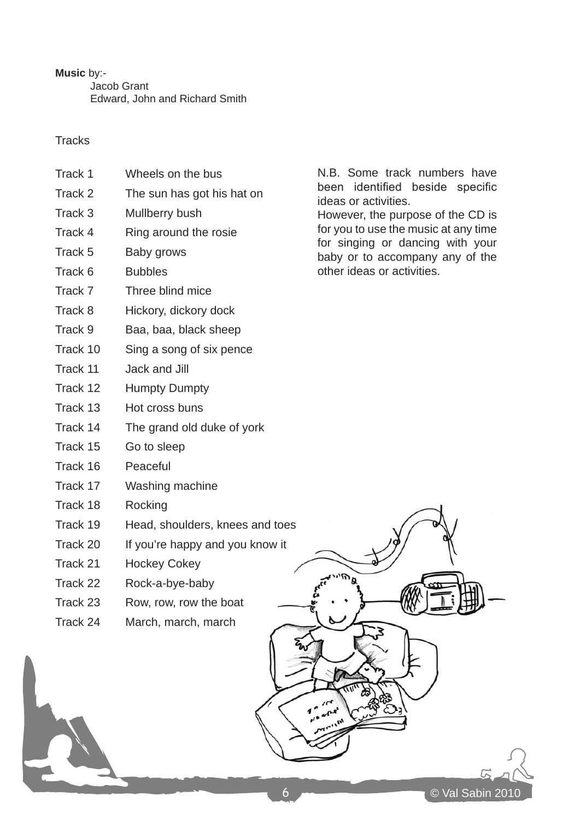**Music** by:- Jacob Grant Edward, John and Richard Smith

#### **Tracks**

- Track 1 Wheels on the bus
- Track 2 The sun has got his hat on
- Track 3 Mullberry bush
- Track 4 Ring around the rosie
- Track 5 Baby grows
- Track 6 Bubbles
- Track 7 Three blind mice
- Track 8 Hickory, dickory dock
- Track 9 Baa, baa, black sheep
- Track 10 Sing a song of six pence
- Track 11 Jack and Jill
- Track 12 Humpty Dumpty
- Track 13 Hot cross buns
- Track 14 The grand old duke of york
- Track 15 Go to sleep
- Track 16 Peaceful
- Track 17 Washing machine
- Track 18 Rocking
- Track 19 Head, shoulders, knees and toes
- Track 20 If you're happy and you know it
- Track 21 Hockey Cokey
- Track 22 Rock-a-bye-baby
- Track 23 Row, row, row the boat
- Track 24 March, march, march

N.B. Some track numbers have been identified beside specific ideas or activities. However, the purpose of the CD is

for you to use the music at any time for singing or dancing with your baby or to accompany any of the other ideas or activities.

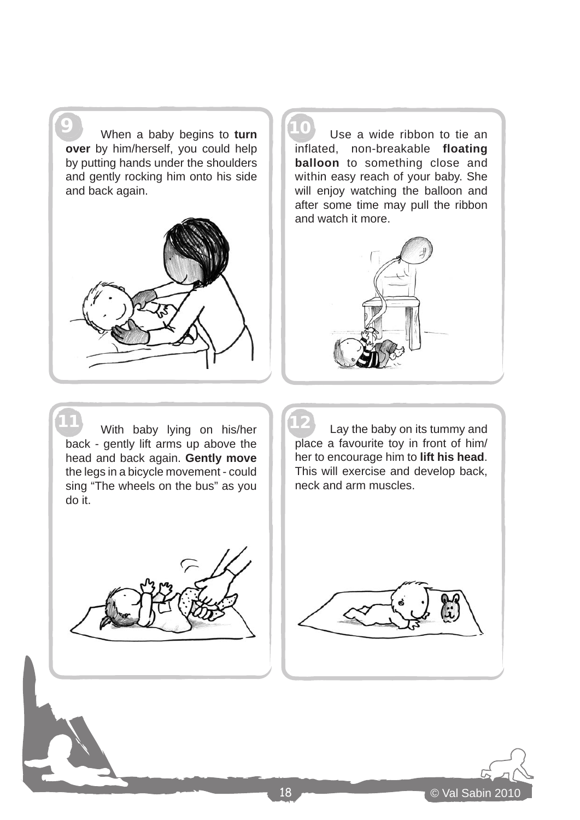**9** When a baby begins to **turn 10 over** by him/herself, you could help by putting hands under the shoulders and gently rocking him onto his side and back again.



Use a wide ribbon to tie an inflated, non-breakable **floating balloon** to something close and within easy reach of your baby. She will enjoy watching the balloon and after some time may pull the ribbon and watch it more.



11 With baby lying on his/her | 12 back - gently lift arms up above the head and back again. **Gently move** the legs in a bicycle movement - could sing "The wheels on the bus" as you do it.

Lay the baby on its tummy and place a favourite toy in front of him/ her to encourage him to **lift his head**. This will exercise and develop back, neck and arm muscles.





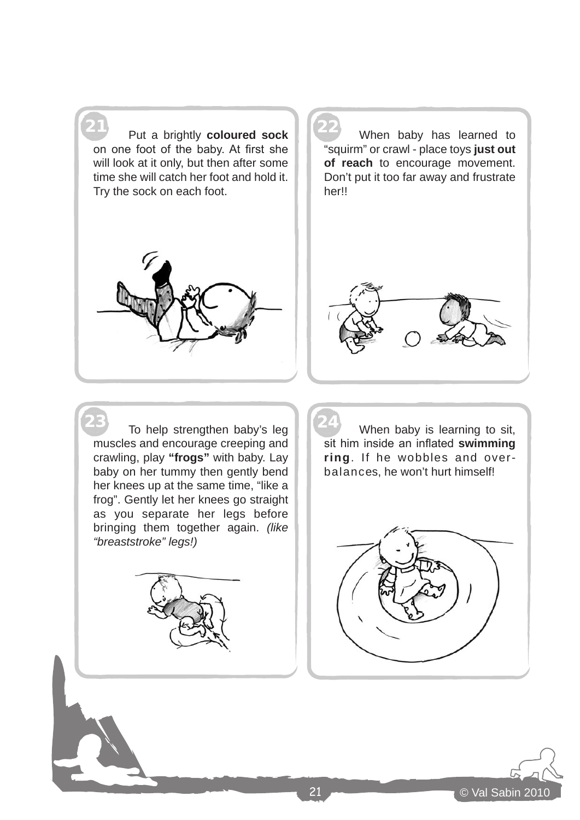21 22 Put a brightly **coloured sock** on one foot of the baby. At first she will look at it only, but then after some time she will catch her foot and hold it. Try the sock on each foot.

When baby has learned to "squirm" or crawl - place toys **just out of reach** to encourage movement. Don't put it too far away and frustrate her!!





23 To help strengthen baby's leg | 24 muscles and encourage creeping and crawling, play **"frogs"** with baby. Lay baby on her tummy then gently bend her knees up at the same time, "like a frog". Gently let her knees go straight as you separate her legs before bringing them together again. *(like "breaststroke" legs!)*



When baby is learning to sit, sit him inside an inflated **swimming ring**. If he wobbles and overbalances, he won't hurt himself!



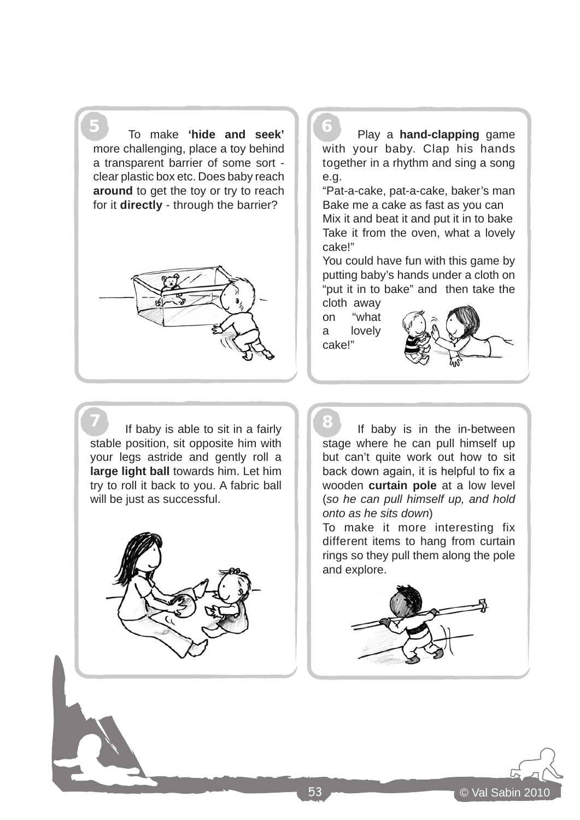5 6 To make **'hide and seek'** more challenging, place a toy behind a transparent barrier of some sort clear plastic box etc. Does baby reach **around** to get the toy or try to reach for it **directly** - through the barrier?



**7** If baby is able to sit in a fairly **1 8** stable position, sit opposite him with your legs astride and gently roll a **large light ball** towards him. Let him try to roll it back to you. A fabric ball will be just as successful.



Play a **hand-clapping** game with your baby. Clap his hands together in a rhythm and sing a song e.g.

"Pat-a-cake, pat-a-cake, baker's man Bake me a cake as fast as you can Mix it and beat it and put it in to bake Take it from the oven, what a lovely cake!"

You could have fun with this game by putting baby's hands under a cloth on "put it in to bake" and then take the cloth away

on "what a lovely cake!"



If baby is in the in-between stage where he can pull himself up but can't quite work out how to sit back down again, it is helpful to fix a wooden **curtain pole** at a low level (*so he can pull himself up, and hold onto as he sits down*)

To make it more interesting fix different items to hang from curtain rings so they pull them along the pole and explore.